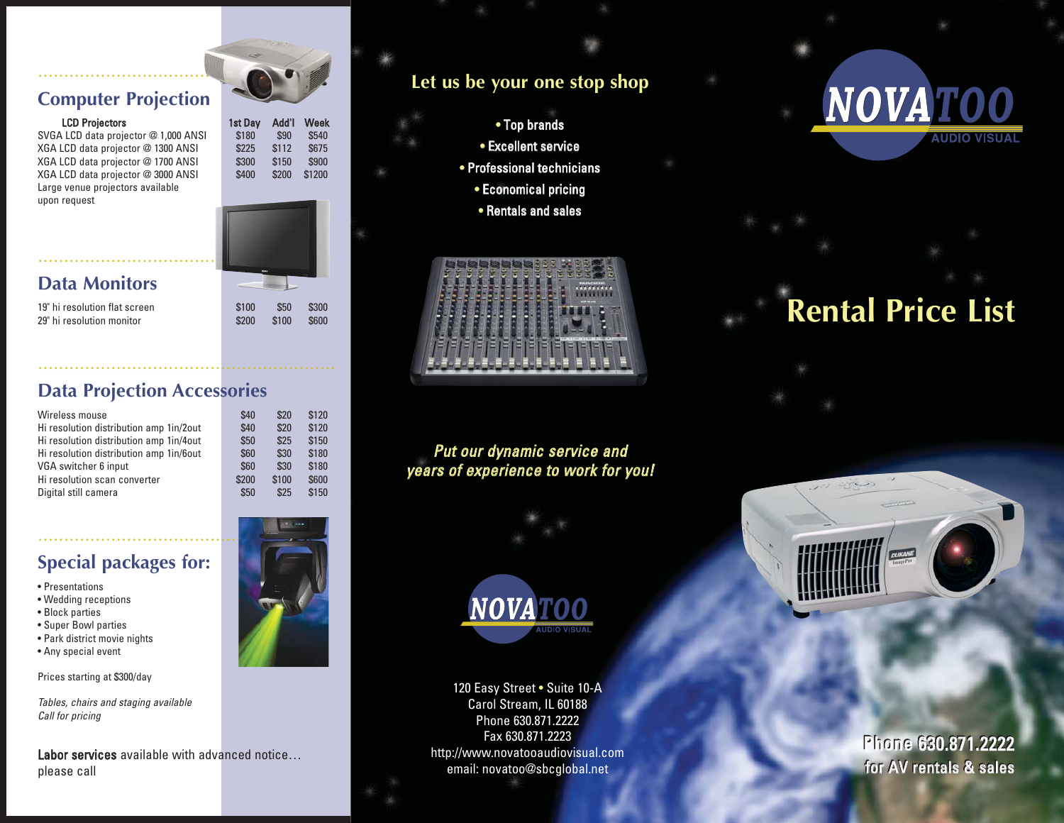#### **Computer Projection**

.......................................................

SVGA LCD data projector @ 1,000 ANSI \$180 \$90 \$540 XGA LCD data projector @ 1300 ANSI \$225 \$112 \$675 XGA LCD data projector @ 1700 ANSI \$300 \$150 \$900<br>XGA LCD data projector @ 3000 ANSI \$400 \$200 \$1200 XGA LCD data projector @ 3000 ANSI \$400 \$200 Large venue projectors available upon request



#### **Data Monitors**

19" hi resolution flat screen \$100 \$50 \$300 29" hi resolution monitor \$200 \$100 \$600

#### **Data Projection Accessories**

.........................................................

| Wireless mouse                          | \$40  | \$20  | \$120 |
|-----------------------------------------|-------|-------|-------|
| Hi resolution distribution amp 1in/2out | \$40  | \$20  | \$120 |
| Hi resolution distribution amp 1in/4out | \$50  | \$25  | \$150 |
| Hi resolution distribution amp 1in/6out | \$60  | \$30  | \$180 |
| VGA switcher 6 input                    | \$60  | \$30  | \$180 |
| Hi resolution scan converter            | \$200 | \$100 | \$600 |
| Digital still camera                    | \$50  | \$25  | \$150 |

#### **Special packages for:**

- Presentations
- Wedding receptions
- Block parties
- Super Bowl parties
- Park district movie nights
- Any special event

Prices starting at \$300/day

Tables, chairs and staging available Call for pricing

Labor services available with advanced notice... please call

#### **Let us be your one stop shop**

- Top brands • Excellent service • Professional technicians
- Economical pricing
	- Rentals and sales



Put our dynamic service and years of experience to work for you!



120 Easy Street • Suite 10-A Carol Stream, IL 60188 Phone 630.871.2222 Fax 630.871.2223 http://www.novatooaudiovisual.com email: novatoo@sbcglobal.net

## NOVATO **AUDIO VISUAI**

# **Rental Price List**



Phone 630.871.2222 Phone 630.871.2222 for AV rentals & sales for AV rentals & sales